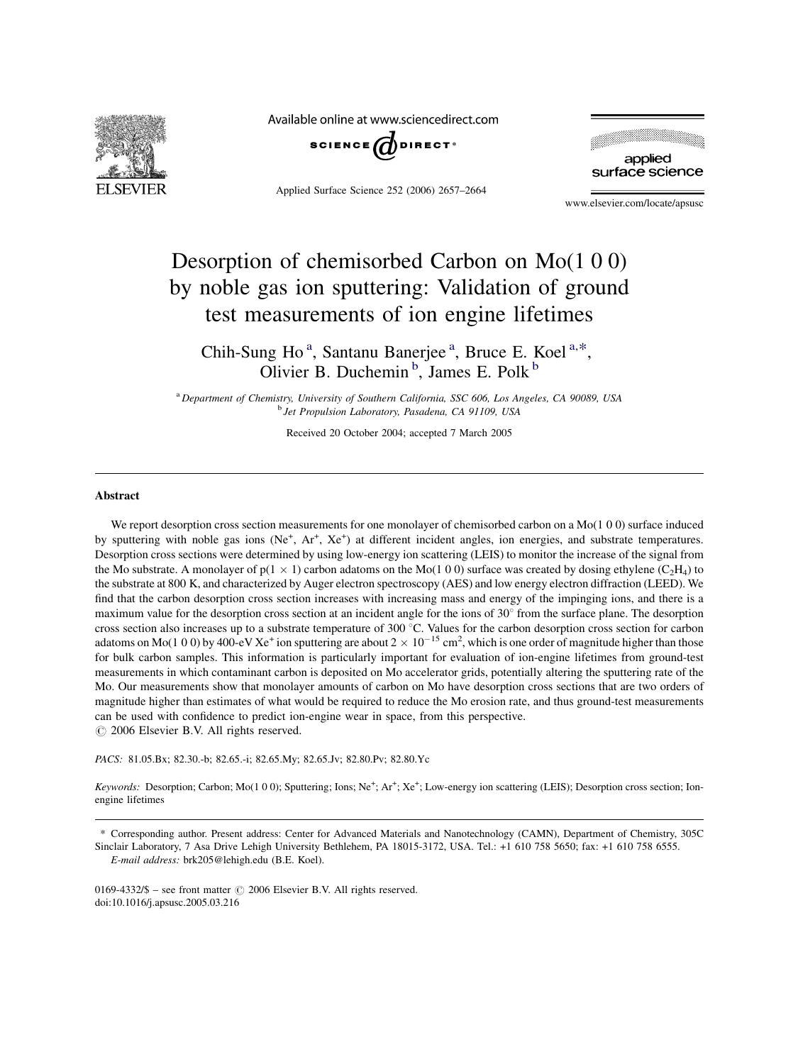

Available online at www.sciencedirect.com



Applied Surface Science 252 (2006) 2657–2664



www.elsevier.com/locate/apsusc

# Desorption of chemisorbed Carbon on Mo(1 0 0) by noble gas ion sputtering: Validation of ground test measurements of ion engine lifetimes

Chih-Sung Ho<sup>a</sup>, Santanu Banerjee<sup>a</sup>, Bruce E. Koel<sup>a,\*</sup>, Olivier B. Duchemin<sup>b</sup>, James E. Polk<sup>b</sup>

<sup>a</sup> Department of Chemistry, University of Southern California, SSC 606, Los Angeles, CA 90089, USA <sup>b</sup> Jet Propulsion Laboratory, Pasadena, CA 91109, USA

Received 20 October 2004; accepted 7 March 2005

#### **Abstract**

We report desorption cross section measurements for one monolayer of chemisorbed carbon on a Mo(1 0 0) surface induced by sputtering with noble gas ions (Ne<sup>+</sup>, Ar<sup>+</sup>, Xe<sup>+</sup>) at different incident angles, ion energies, and substrate temperatures. Desorption cross sections were determined by using low-energy ion scattering (LEIS) to monitor the increase of the signal from the Mo substrate. A monolayer of  $p(1 \times 1)$  carbon adatoms on the Mo(1 0 0) surface was created by dosing ethylene (C<sub>2</sub>H<sub>4</sub>) to the substrate at 800 K, and characterized by Auger electron spectroscopy (AES) and low energy electron diffraction (LEED). We find that the carbon desorption cross section increases with increasing mass and energy of the impinging ions, and there is a maximum value for the desorption cross section at an incident angle for the ions of  $30^{\circ}$  from the surface plane. The desorption cross section also increases up to a substrate temperature of  $300^{\circ}$ C. Values for the carbon desorption cross section for carbon adatoms on Mo(1 0 0) by 400-eV Xe<sup>+</sup> ion sputtering are about 2  $\times$  10<sup>-15</sup> cm<sup>2</sup>, which is one order of magnitude higher than those for bulk carbon samples. This information is particularly important for evaluation of ion-engine lifetimes from ground-test measurements in which contaminant carbon is deposited on Mo accelerator grids, potentially altering the sputtering rate of the Mo. Our measurements show that monolayer amounts of carbon on Mo have desorption cross sections that are two orders of magnitude higher than estimates of what would be required to reduce the Mo erosion rate, and thus ground-test measurements can be used with confidence to predict ion-engine wear in space, from this perspective.  $\odot$  2006 Elsevier B.V. All rights reserved.

PACS: 81.05.Bx; 82.30.-b; 82.65.-i; 82.65.My; 82.65.Jv; 82.80.Pv; 82.80.Yc

Keywords: Desorption; Carbon; Mo(1 0 0); Sputtering; Ions; Ne<sup>+</sup>; Ar<sup>+</sup>; Xe<sup>+</sup>; Low-energy ion scattering (LEIS); Desorption cross section; Ionengine lifetimes

\* Corresponding author. Present address: Center for Advanced Materials and Nanotechnology (CAMN), Department of Chemistry, 305C Sinclair Laboratory, 7 Asa Drive Lehigh University Bethlehem, PA 18015-3172, USA. Tel.: +1 610 758 5650; fax: +1 610 758 6555. E-mail address: brk205@lehigh.edu (B.E. Koel).

0169-4332/\$ – see front matter  $\odot$  2006 Elsevier B.V. All rights reserved. doi:10.1016/j.apsusc.2005.03.216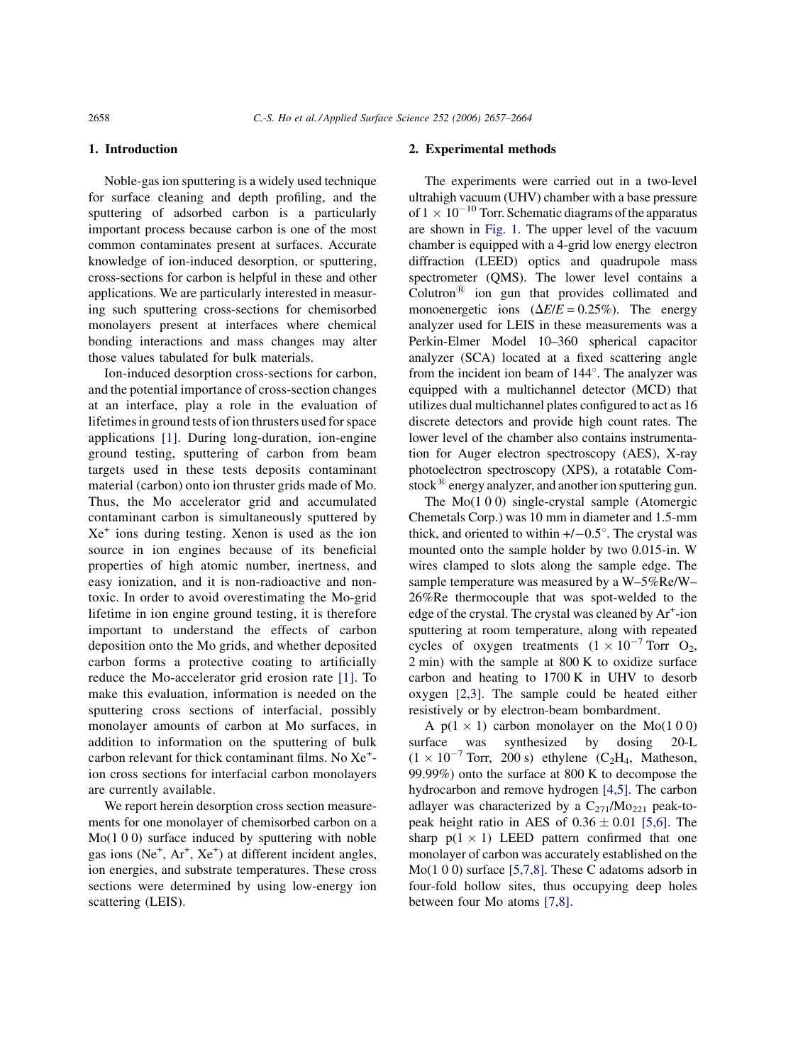# 1. Introduction

Noble-gas ion sputtering is a widely used technique for surface cleaning and depth profiling, and the sputtering of adsorbed carbon is a particularly important process because carbon is one of the most common contaminates present at surfaces. Accurate knowledge of ion-induced desorption, or sputtering, cross-sections for carbon is helpful in these and other applications. We are particularly interested in measuring such sputtering cross-sections for chemisorbed monolayers present at interfaces where chemical bonding interactions and mass changes may alter those values tabulated for bulk materials.

Ion-induced desorption cross-sections for carbon, and the potential importance of cross-section changes at an interface, play a role in the evaluation of lifetimes in ground tests of ion thrusters used for space applications [\[1\].](#page-7-0) During long-duration, ion-engine ground testing, sputtering of carbon from beam targets used in these tests deposits contaminant material (carbon) onto ion thruster grids made of Mo. Thus, the Mo accelerator grid and accumulated contaminant carbon is simultaneously sputtered by  $Xe<sup>+</sup>$  ions during testing. Xenon is used as the ion source in ion engines because of its beneficial properties of high atomic number, inertness, and easy ionization, and it is non-radioactive and nontoxic. In order to avoid overestimating the Mo-grid lifetime in ion engine ground testing, it is therefore important to understand the effects of carbon deposition onto the Mo grids, and whether deposited carbon forms a protective coating to artificially reduce the Mo-accelerator grid erosion rate [\[1\]](#page-7-0). To make this evaluation, information is needed on the sputtering cross sections of interfacial, possibly monolayer amounts of carbon at Mo surfaces, in addition to information on the sputtering of bulk carbon relevant for thick contaminant films. No Xe<sup>+</sup> ion cross sections for interfacial carbon monolayers are currently available.

We report herein desorption cross section measurements for one monolayer of chemisorbed carbon on a Mo(1 0 0) surface induced by sputtering with noble gas ions ( $Ne^+$ ,  $Ar^+$ ,  $Xe^+$ ) at different incident angles, ion energies, and substrate temperatures. These cross sections were determined by using low-energy ion scattering (LEIS).

## 2. Experimental methods

The experiments were carried out in a two-level ultrahigh vacuum (UHV) chamber with a base pressure of  $1 \times 10^{-10}$  Torr. Schematic diagrams of the apparatus are shown in [Fig. 1](#page-2-0). The upper level of the vacuum chamber is equipped with a 4-grid low energy electron diffraction (LEED) optics and quadrupole mass spectrometer (QMS). The lower level contains a  $Column^<sup>®</sup>$  ion gun that provides collimated and monoenergetic ions  $(\Delta E/E = 0.25\%)$ . The energy analyzer used for LEIS in these measurements was a Perkin-Elmer Model 10–360 spherical capacitor analyzer (SCA) located at a fixed scattering angle from the incident ion beam of  $144^\circ$ . The analyzer was equipped with a multichannel detector (MCD) that utilizes dual multichannel plates configured to act as 16 discrete detectors and provide high count rates. The lower level of the chamber also contains instrumentation for Auger electron spectroscopy (AES), X-ray photoelectron spectroscopy (XPS), a rotatable Comstock $\mathbb{B}$  energy analyzer, and another ion sputtering gun.

The  $Mo(100)$  single-crystal sample (Atomergic Chemetals Corp.) was 10 mm in diameter and 1.5-mm thick, and oriented to within  $+/-0.5^{\circ}$ . The crystal was mounted onto the sample holder by two 0.015-in. W wires clamped to slots along the sample edge. The sample temperature was measured by a W–5%Re/W– 26%Re thermocouple that was spot-welded to the edge of the crystal. The crystal was cleaned by Ar<sup>+</sup>-ion sputtering at room temperature, along with repeated cycles of oxygen treatments  $(1 \times 10^{-7} \text{ Torr } O_2)$ , 2 min) with the sample at 800 K to oxidize surface carbon and heating to 1700 K in UHV to desorb oxygen [\[2,3\]](#page-7-0). The sample could be heated either resistively or by electron-beam bombardment.

A  $p(1 \times 1)$  carbon monolayer on the Mo(1 0 0) surface was synthesized by dosing 20-L  $(1 \times 10^{-7}$  Torr, 200 s) ethylene  $(C_2H_4,$  Matheson, 99.99%) onto the surface at 800 K to decompose the hydrocarbon and remove hydrogen [\[4,5\].](#page-7-0) The carbon adlayer was characterized by a  $C_{271}/M_{O_{221}}$  peak-topeak height ratio in AES of  $0.36 \pm 0.01$  [\[5,6\]](#page-7-0). The sharp  $p(1 \times 1)$  LEED pattern confirmed that one monolayer of carbon was accurately established on the Mo(1 0 0) surface [\[5,7,8\]](#page-7-0). These C adatoms adsorb in four-fold hollow sites, thus occupying deep holes between four Mo atoms [\[7,8\]](#page-7-0).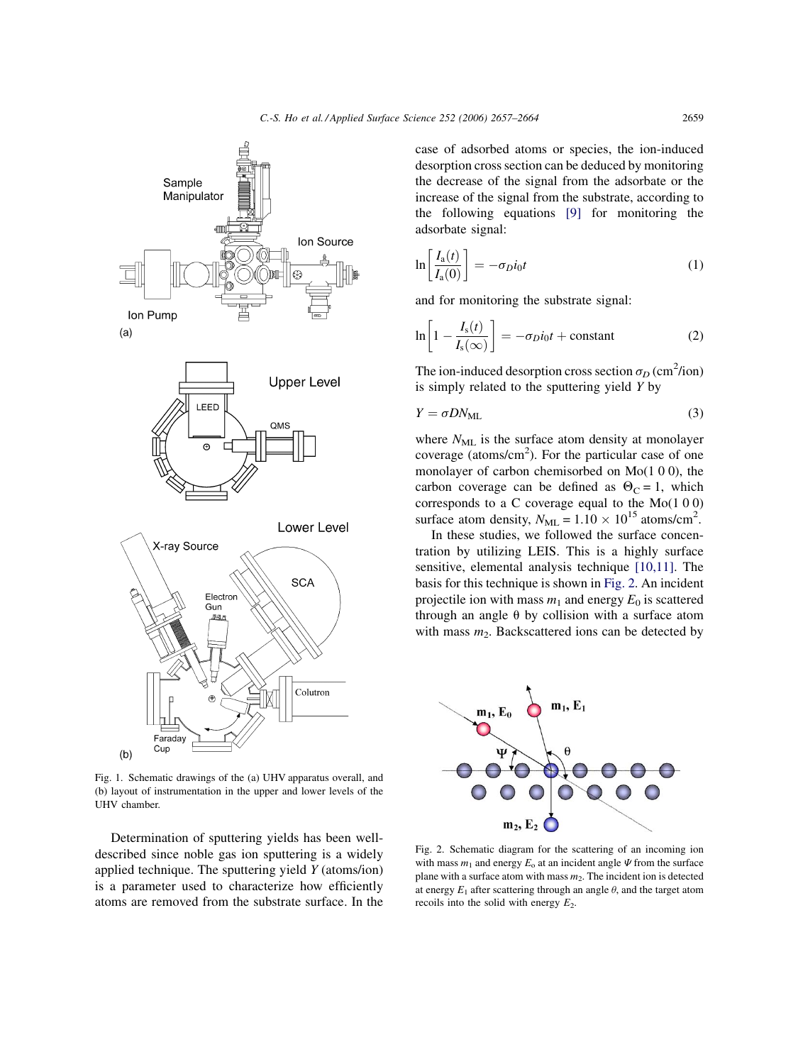<span id="page-2-0"></span>

Fig. 1. Schematic drawings of the (a) UHV apparatus overall, and (b) layout of instrumentation in the upper and lower levels of the UHV chamber.

Determination of sputtering yields has been welldescribed since noble gas ion sputtering is a widely applied technique. The sputtering yield Y (atoms/ion) is a parameter used to characterize how efficiently atoms are removed from the substrate surface. In the

case of adsorbed atoms or species, the ion-induced desorption cross section can be deduced by monitoring the decrease of the signal from the adsorbate or the increase of the signal from the substrate, according to the following equations [\[9\]](#page-7-0) for monitoring the adsorbate signal:

$$
\ln\left[\frac{I_a(t)}{I_a(0)}\right] = -\sigma_D i_0 t \tag{1}
$$

and for monitoring the substrate signal:

$$
\ln\left[1 - \frac{I_s(t)}{I_s(\infty)}\right] = -\sigma_D i_0 t + \text{constant} \tag{2}
$$

The ion-induced desorption cross section  $\sigma_D$  (cm<sup>2</sup>/ion) is simply related to the sputtering yield  $Y$  by

$$
Y = \sigma DN_{\text{ML}} \tag{3}
$$

where  $N_{ML}$  is the surface atom density at monolayer coverage (atoms/cm<sup>2</sup>). For the particular case of one monolayer of carbon chemisorbed on Mo(1 0 0), the carbon coverage can be defined as  $\Theta_C = 1$ , which corresponds to a C coverage equal to the Mo(1 0 0) surface atom density,  $N_{ML} = 1.10 \times 10^{15}$  atoms/cm<sup>2</sup>.

In these studies, we followed the surface concentration by utilizing LEIS. This is a highly surface sensitive, elemental analysis technique [\[10,11\].](#page-7-0) The basis for this technique is shown in Fig. 2. An incident projectile ion with mass  $m_1$  and energy  $E_0$  is scattered through an angle  $\theta$  by collision with a surface atom with mass  $m_2$ . Backscattered ions can be detected by



Fig. 2. Schematic diagram for the scattering of an incoming ion with mass  $m_1$  and energy  $E_0$  at an incident angle  $\Psi$  from the surface plane with a surface atom with mass  $m_2$ . The incident ion is detected at energy  $E_1$  after scattering through an angle  $\theta$ , and the target atom recoils into the solid with energy  $E_2$ .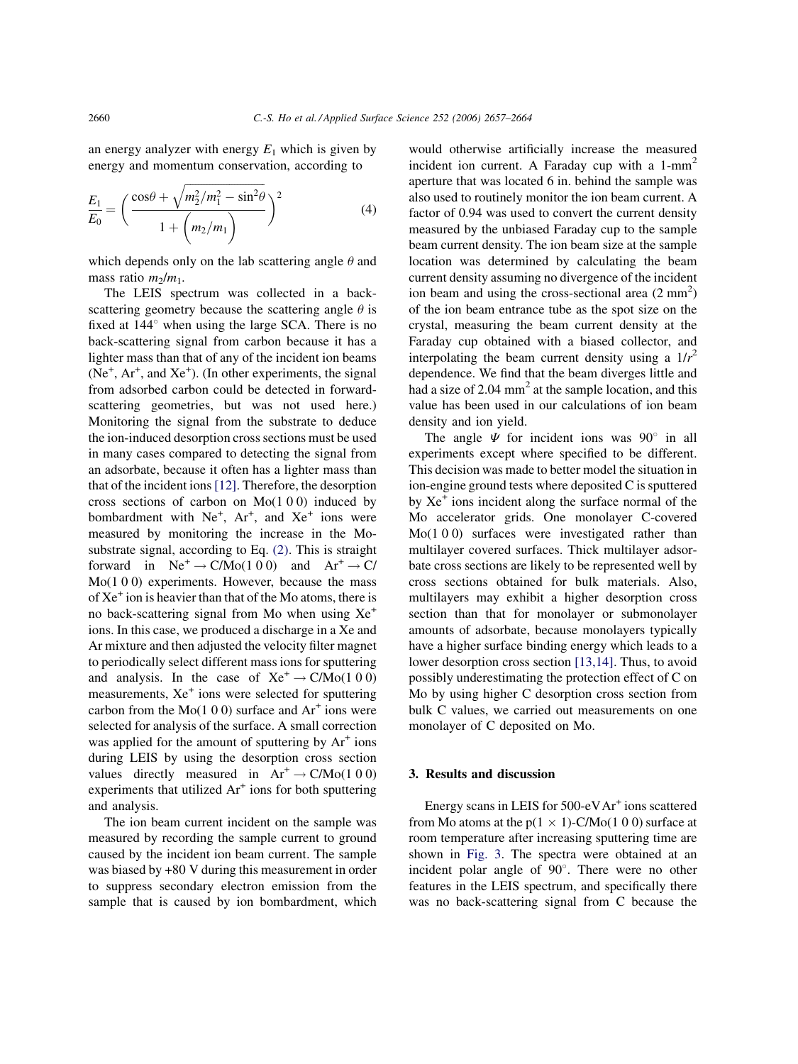an energy analyzer with energy  $E_1$  which is given by energy and momentum conservation, according to

$$
\frac{E_1}{E_0} = \left(\frac{\cos\theta + \sqrt{m_2^2/m_1^2 - \sin^2\theta}}{1 + \left(m_2/m_1\right)}\right)^2\tag{4}
$$

which depends only on the lab scattering angle  $\theta$  and mass ratio  $m_2/m_1$ .

The LEIS spectrum was collected in a backscattering geometry because the scattering angle  $\theta$  is fixed at  $144^{\circ}$  when using the large SCA. There is no back-scattering signal from carbon because it has a lighter mass than that of any of the incident ion beams  $(Ne<sup>+</sup>, Ar<sup>+</sup>, and Xe<sup>+</sup>).$  (In other experiments, the signal from adsorbed carbon could be detected in forwardscattering geometries, but was not used here.) Monitoring the signal from the substrate to deduce the ion-induced desorption cross sections must be used in many cases compared to detecting the signal from an adsorbate, because it often has a lighter mass than that of the incident ions[\[12\].](#page-7-0) Therefore, the desorption cross sections of carbon on  $Mo(1 0 0)$  induced by bombardment with  $Ne^+$ ,  $Ar^+$ , and  $Xe^+$  ions were measured by monitoring the increase in the Mosubstrate signal, according to Eq. [\(2\)](#page-2-0). This is straight forward in  $Ne^+ \rightarrow C/Mo(1\ 0\ 0)$  and  $Ar^+ \rightarrow C/$ Mo(1 0 0) experiments. However, because the mass of  $Xe<sup>+</sup>$  ion is heavier than that of the Mo atoms, there is no back-scattering signal from Mo when using  $Xe^+$ ions. In this case, we produced a discharge in a Xe and Ar mixture and then adjusted the velocity filter magnet to periodically select different mass ions for sputtering and analysis. In the case of  $Xe^+ \rightarrow C/Mo(100)$ measurements,  $Xe^+$  ions were selected for sputtering carbon from the  $Mo(1 0 0)$  surface and  $Ar<sup>+</sup>$  ions were selected for analysis of the surface. A small correction was applied for the amount of sputtering by  $Ar^+$  ions during LEIS by using the desorption cross section values directly measured in  $Ar^+ \rightarrow C/Mo(100)$ experiments that utilized  $Ar<sup>+</sup>$  ions for both sputtering and analysis.

The ion beam current incident on the sample was measured by recording the sample current to ground caused by the incident ion beam current. The sample was biased by +80 V during this measurement in order to suppress secondary electron emission from the sample that is caused by ion bombardment, which

would otherwise artificially increase the measured incident ion current. A Faraday cup with a  $1-mm<sup>2</sup>$ aperture that was located 6 in. behind the sample was also used to routinely monitor the ion beam current. A factor of 0.94 was used to convert the current density measured by the unbiased Faraday cup to the sample beam current density. The ion beam size at the sample location was determined by calculating the beam current density assuming no divergence of the incident ion beam and using the cross-sectional area  $(2 \text{ mm}^2)$ of the ion beam entrance tube as the spot size on the crystal, measuring the beam current density at the Faraday cup obtained with a biased collector, and interpolating the beam current density using a  $1/r^2$ dependence. We find that the beam diverges little and had a size of  $2.04 \text{ mm}^2$  at the sample location, and this value has been used in our calculations of ion beam density and ion yield.

The angle  $\Psi$  for incident ions was 90 $^{\circ}$  in all experiments except where specified to be different. This decision was made to better model the situation in ion-engine ground tests where deposited C is sputtered by  $Xe<sup>+</sup>$  ions incident along the surface normal of the Mo accelerator grids. One monolayer C-covered Mo(1 0 0) surfaces were investigated rather than multilayer covered surfaces. Thick multilayer adsorbate cross sections are likely to be represented well by cross sections obtained for bulk materials. Also, multilayers may exhibit a higher desorption cross section than that for monolayer or submonolayer amounts of adsorbate, because monolayers typically have a higher surface binding energy which leads to a lower desorption cross section [\[13,14\].](#page-7-0) Thus, to avoid possibly underestimating the protection effect of C on Mo by using higher C desorption cross section from bulk C values, we carried out measurements on one monolayer of C deposited on Mo.

## 3. Results and discussion

Energy scans in LEIS for  $500-eVAr<sup>+</sup>$  ions scattered from Mo atoms at the  $p(1 \times 1)$ -C/Mo(1 0 0) surface at room temperature after increasing sputtering time are shown in [Fig. 3](#page-4-0). The spectra were obtained at an incident polar angle of  $90^\circ$ . There were no other features in the LEIS spectrum, and specifically there was no back-scattering signal from C because the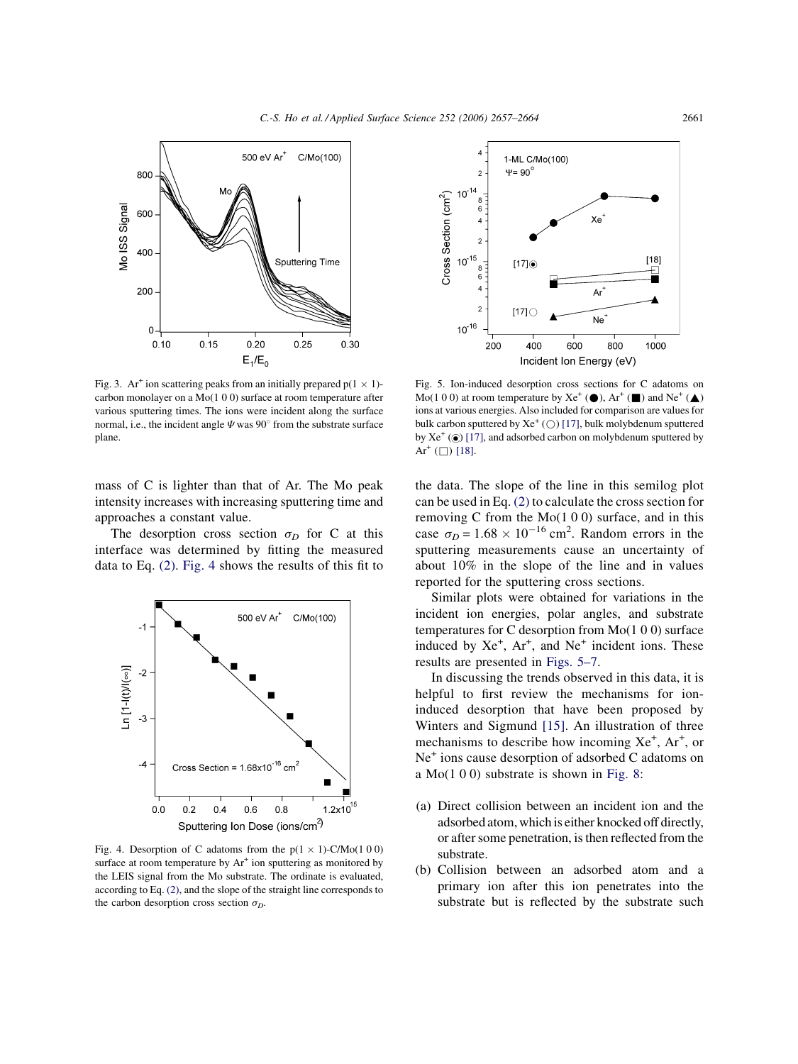<span id="page-4-0"></span>

Fig. 3. Ar<sup>+</sup> ion scattering peaks from an initially prepared  $p(1 \times 1)$ carbon monolayer on a Mo(1 0 0) surface at room temperature after various sputtering times. The ions were incident along the surface normal, i.e., the incident angle  $\Psi$  was 90 $^{\circ}$  from the substrate surface plane.

mass of C is lighter than that of Ar. The Mo peak intensity increases with increasing sputtering time and approaches a constant value.

The desorption cross section  $\sigma_D$  for C at this interface was determined by fitting the measured data to Eq. [\(2\).](#page-2-0) Fig. 4 shows the results of this fit to



Fig. 4. Desorption of C adatoms from the  $p(1 \times 1)$ -C/Mo(1 0 0) surface at room temperature by  $Ar^+$  ion sputtering as monitored by the LEIS signal from the Mo substrate. The ordinate is evaluated, according to Eq. [\(2\),](#page-2-0) and the slope of the straight line corresponds to the carbon desorption cross section  $\sigma_D$ .



Fig. 5. Ion-induced desorption cross sections for C adatoms on Mo(1 0 0) at room temperature by  $Xe^+(\bullet)$ ,  $Ar^+(\bullet)$  and  $Ne^+(\bullet)$ ions at various energies. Also included for comparison are values for bulk carbon sputtered by  $Xe^+(\bigcirc)$  [\[17\],](#page-7-0) bulk molybdenum sputtered by  $Xe^+(\odot)$  [\[17\],](#page-7-0) and adsorbed carbon on molybdenum sputtered by Ar<sup>+</sup>  $($  $\Box)$  [\[18\]](#page-7-0).

the data. The slope of the line in this semilog plot can be used in Eq. [\(2\)](#page-2-0) to calculate the cross section for removing C from the Mo(1 0 0) surface, and in this case  $\sigma_D = 1.68 \times 10^{-16}$  cm<sup>2</sup>. Random errors in the sputtering measurements cause an uncertainty of about 10% in the slope of the line and in values reported for the sputtering cross sections.

Similar plots were obtained for variations in the incident ion energies, polar angles, and substrate temperatures for C desorption from Mo(1 0 0) surface induced by  $Xe^{+}$ ,  $Ar^{+}$ , and  $Ne^{+}$  incident ions. These results are presented in Figs. 5–7.

In discussing the trends observed in this data, it is helpful to first review the mechanisms for ioninduced desorption that have been proposed by Winters and Sigmund [\[15\].](#page-7-0) An illustration of three mechanisms to describe how incoming  $Xe^{+}$ ,  $Ar^{+}$ , or Ne<sup>+</sup> ions cause desorption of adsorbed C adatoms on a  $Mo(1 0 0)$  substrate is shown in [Fig. 8:](#page-5-0)

- (a) Direct collision between an incident ion and the adsorbed atom, which is either knocked off directly, or after some penetration, is then reflected from the substrate.
- (b) Collision between an adsorbed atom and a primary ion after this ion penetrates into the substrate but is reflected by the substrate such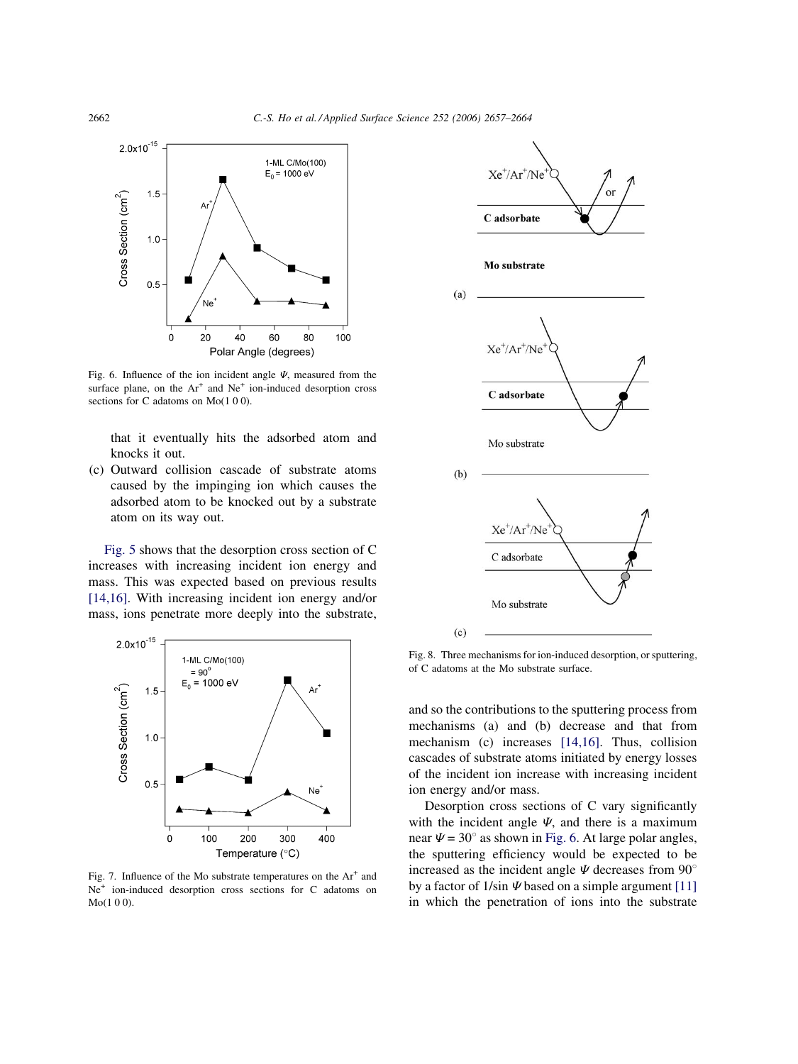

Fig. 6. Influence of the ion incident angle  $\Psi$ , measured from the surface plane, on the  $Ar^+$  and  $Ne^+$  ion-induced desorption cross sections for C adatoms on Mo(1 0 0).

that it eventually hits the adsorbed atom and knocks it out.

(c) Outward collision cascade of substrate atoms caused by the impinging ion which causes the adsorbed atom to be knocked out by a substrate atom on its way out.

[Fig. 5](#page-4-0) shows that the desorption cross section of C increases with increasing incident ion energy and mass. This was expected based on previous results [\[14,16\]](#page-7-0). With increasing incident ion energy and/or mass, ions penetrate more deeply into the substrate,



Fig. 7. Influence of the Mo substrate temperatures on the  $Ar^+$  and Ne+ ion-induced desorption cross sections for C adatoms on Mo(1 0 0).



Fig. 8. Three mechanisms for ion-induced desorption, or sputtering, of C adatoms at the Mo substrate surface.

and so the contributions to the sputtering process from mechanisms (a) and (b) decrease and that from mechanism (c) increases [\[14,16\].](#page-7-0) Thus, collision cascades of substrate atoms initiated by energy losses of the incident ion increase with increasing incident ion energy and/or mass.

Desorption cross sections of C vary significantly with the incident angle  $\Psi$ , and there is a maximum near  $\Psi = 30^\circ$  as shown in Fig. 6. At large polar angles, the sputtering efficiency would be expected to be increased as the incident angle  $\Psi$  decreases from 90 $^{\circ}$ by a factor of  $1/\sin \Psi$  based on a simple argument [\[11\]](#page-7-0) in which the penetration of ions into the substrate

<span id="page-5-0"></span>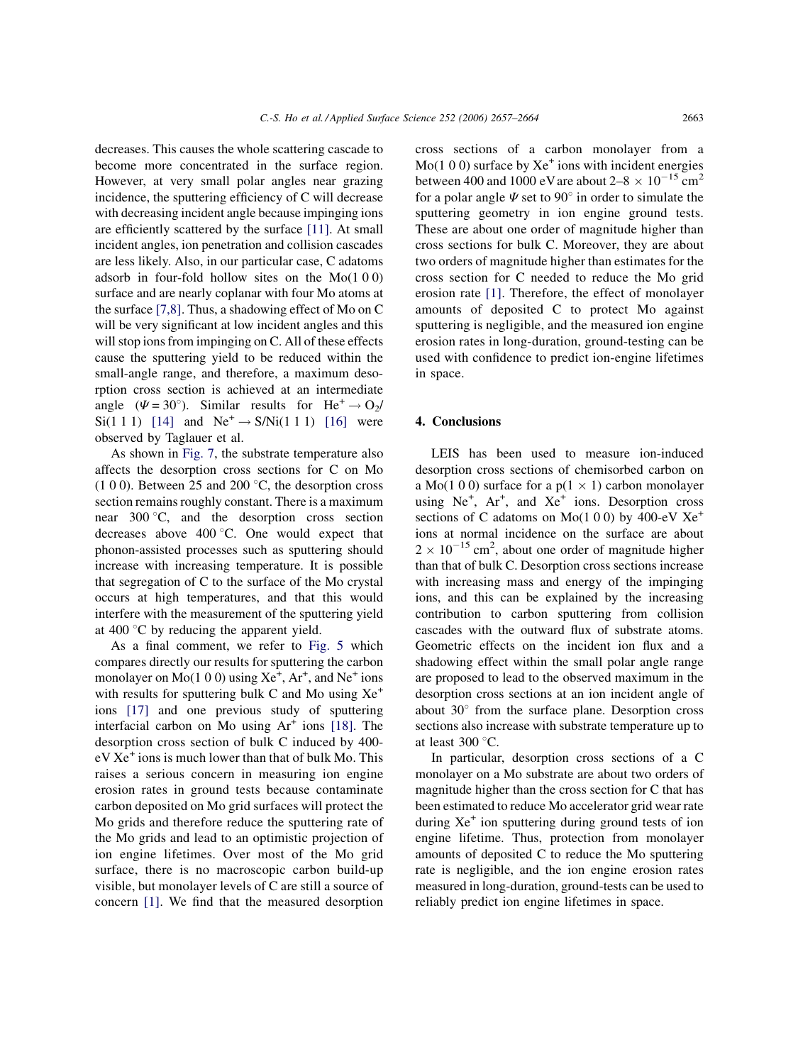decreases. This causes the whole scattering cascade to become more concentrated in the surface region. However, at very small polar angles near grazing incidence, the sputtering efficiency of C will decrease with decreasing incident angle because impinging ions are efficiently scattered by the surface [\[11\].](#page-7-0) At small incident angles, ion penetration and collision cascades are less likely. Also, in our particular case, C adatoms adsorb in four-fold hollow sites on the Mo(1 0 0) surface and are nearly coplanar with four Mo atoms at the surface [\[7,8\]](#page-7-0). Thus, a shadowing effect of Mo on C will be very significant at low incident angles and this will stop ions from impinging on C. All of these effects cause the sputtering yield to be reduced within the small-angle range, and therefore, a maximum desorption cross section is achieved at an intermediate angle ( $\Psi = 30^{\circ}$ ). Similar results for  $He^{+} \rightarrow O_{2}/$  $Si(1\ 1\ 1)$  [\[14\]](#page-7-0) and  $Ne^+ \rightarrow S/Ni(1\ 1\ 1)$  [\[16\]](#page-7-0) were observed by Taglauer et al.

As shown in [Fig. 7,](#page-5-0) the substrate temperature also affects the desorption cross sections for C on Mo  $(1 0 0)$ . Between 25 and 200 °C, the desorption cross section remains roughly constant. There is a maximum near  $300^{\circ}$ C, and the desorption cross section decreases above  $400^{\circ}$ C. One would expect that phonon-assisted processes such as sputtering should increase with increasing temperature. It is possible that segregation of C to the surface of the Mo crystal occurs at high temperatures, and that this would interfere with the measurement of the sputtering yield at 400 $\degree$ C by reducing the apparent yield.

As a final comment, we refer to [Fig. 5](#page-4-0) which compares directly our results for sputtering the carbon monolayer on  $Mo(1 0 0)$  using  $Xe^{+}$ ,  $Ar^{+}$ , and  $Ne^{+}$  ions with results for sputtering bulk C and Mo using  $Xe^+$ ions [\[17\]](#page-7-0) and one previous study of sputtering interfacial carbon on Mo using  $Ar<sup>+</sup>$  ions [\[18\].](#page-7-0) The desorption cross section of bulk C induced by 400 eV Xe<sup>+</sup> ions is much lower than that of bulk Mo. This raises a serious concern in measuring ion engine erosion rates in ground tests because contaminate carbon deposited on Mo grid surfaces will protect the Mo grids and therefore reduce the sputtering rate of the Mo grids and lead to an optimistic projection of ion engine lifetimes. Over most of the Mo grid surface, there is no macroscopic carbon build-up visible, but monolayer levels of C are still a source of concern [\[1\]](#page-7-0). We find that the measured desorption cross sections of a carbon monolayer from a  $Mo(1 0 0)$  surface by  $Xe^{+}$  ions with incident energies between 400 and 1000 eV are about  $2-8 \times 10^{-15}$  cm<sup>2</sup> for a polar angle  $\Psi$  set to 90 $^{\circ}$  in order to simulate the sputtering geometry in ion engine ground tests. These are about one order of magnitude higher than cross sections for bulk C. Moreover, they are about two orders of magnitude higher than estimates for the cross section for C needed to reduce the Mo grid erosion rate [\[1\]](#page-7-0). Therefore, the effect of monolayer amounts of deposited C to protect Mo against sputtering is negligible, and the measured ion engine erosion rates in long-duration, ground-testing can be used with confidence to predict ion-engine lifetimes in space.

### 4. Conclusions

LEIS has been used to measure ion-induced desorption cross sections of chemisorbed carbon on a Mo(1 0 0) surface for a  $p(1 \times 1)$  carbon monolayer using Ne<sup>+</sup>, Ar<sup>+</sup>, and Xe<sup>+</sup> ions. Desorption cross sections of C adatoms on Mo(1 0 0) by 400-eV  $Xe^+$ ions at normal incidence on the surface are about  $2 \times 10^{-15}$  cm<sup>2</sup>, about one order of magnitude higher than that of bulk C. Desorption cross sections increase with increasing mass and energy of the impinging ions, and this can be explained by the increasing contribution to carbon sputtering from collision cascades with the outward flux of substrate atoms. Geometric effects on the incident ion flux and a shadowing effect within the small polar angle range are proposed to lead to the observed maximum in the desorption cross sections at an ion incident angle of about  $30^{\circ}$  from the surface plane. Desorption cross sections also increase with substrate temperature up to at least  $300^{\circ}$ C.

In particular, desorption cross sections of a C monolayer on a Mo substrate are about two orders of magnitude higher than the cross section for C that has been estimated to reduce Mo accelerator grid wear rate during  $Xe^+$  ion sputtering during ground tests of ion engine lifetime. Thus, protection from monolayer amounts of deposited C to reduce the Mo sputtering rate is negligible, and the ion engine erosion rates measured in long-duration, ground-tests can be used to reliably predict ion engine lifetimes in space.